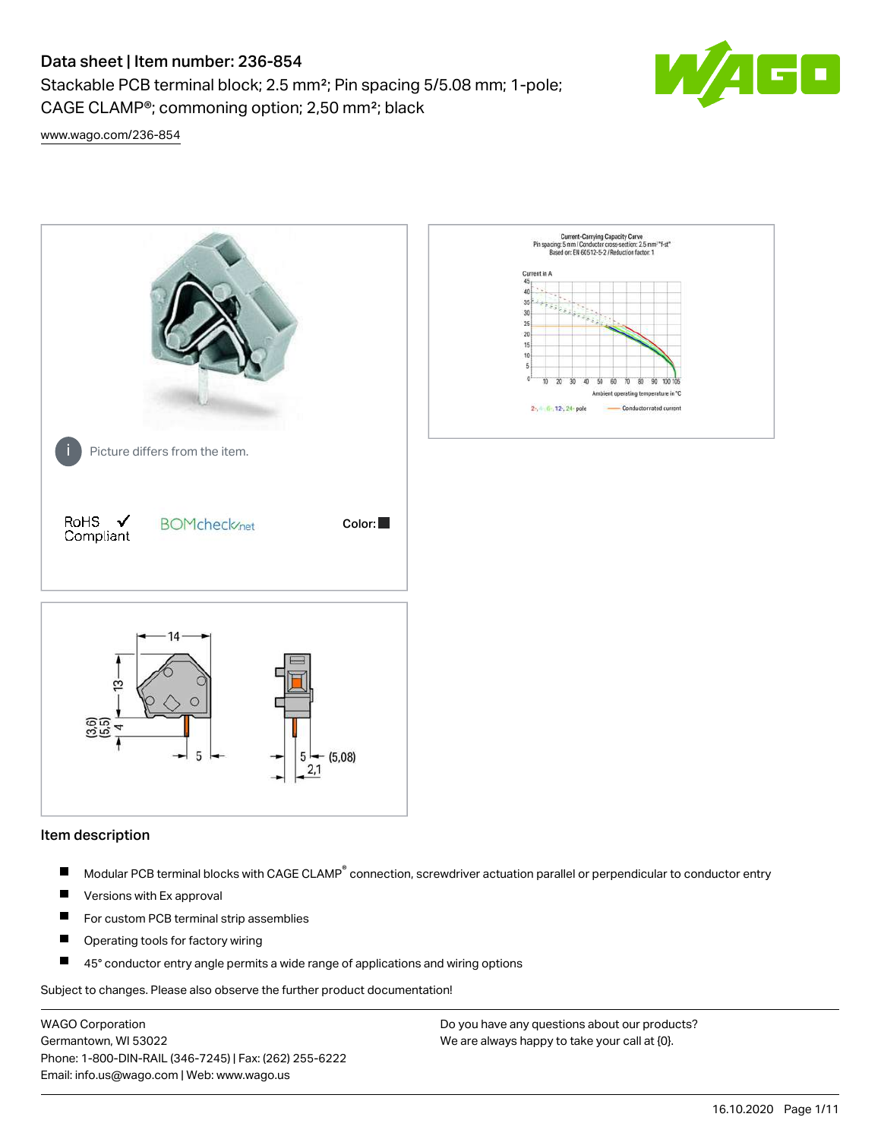Stackable PCB terminal block; 2.5 mm²; Pin spacing 5/5.08 mm; 1-pole; CAGE CLAMP®; commoning option; 2,50 mm²; black



[www.wago.com/236-854](http://www.wago.com/236-854)



#### Item description

- Modular PCB terminal blocks with CAGE CLAMP<sup>®</sup> connection, screwdriver actuation parallel or perpendicular to conductor entry П
- $\blacksquare$ Versions with Ex approval
- П For custom PCB terminal strip assemblies
- $\blacksquare$ Operating tools for factory wiring
- $\blacksquare$ 45° conductor entry angle permits a wide range of applications and wiring options

Subject to changes. Please also observe the further product documentation!

WAGO Corporation Germantown, WI 53022 Phone: 1-800-DIN-RAIL (346-7245) | Fax: (262) 255-6222 Email: info.us@wago.com | Web: www.wago.us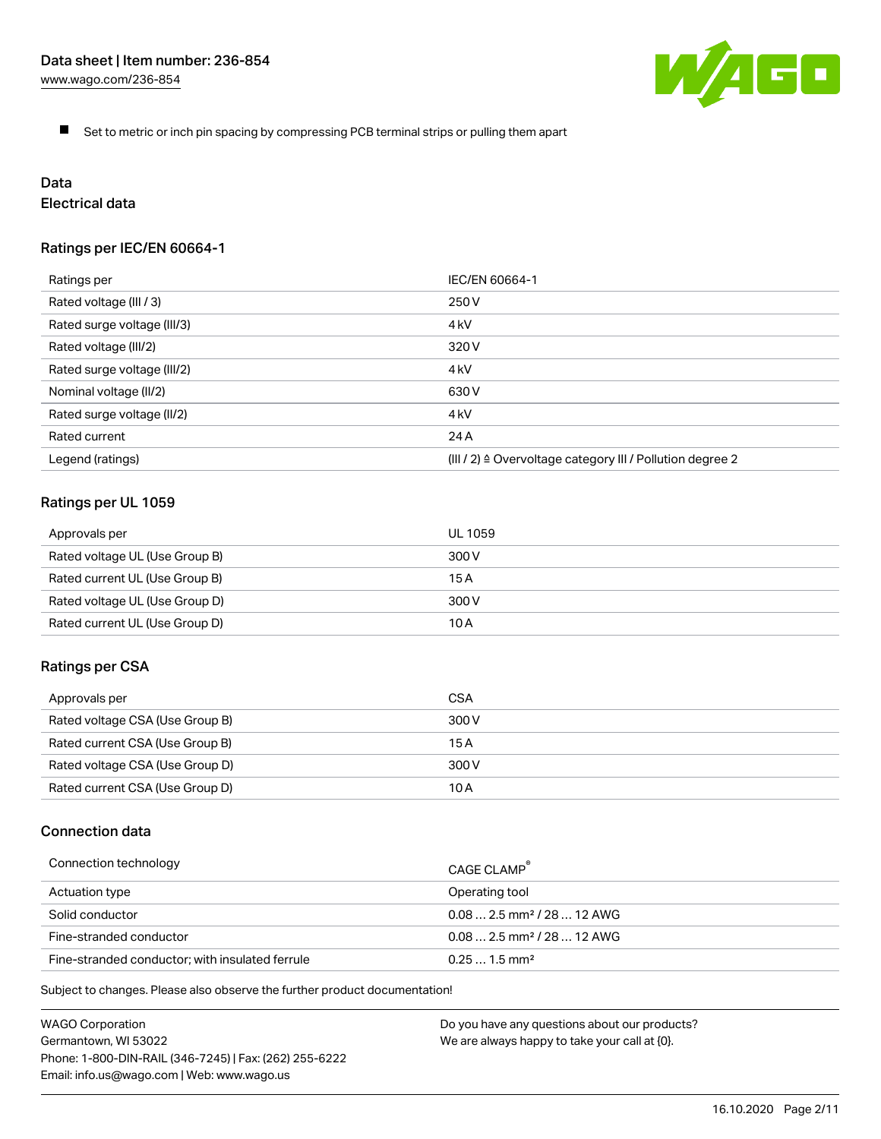

 $\blacksquare$ Set to metric or inch pin spacing by compressing PCB terminal strips or pulling them apart

# Data

# Electrical data

## Ratings per IEC/EN 60664-1

| Ratings per                 | IEC/EN 60664-1                                                        |  |
|-----------------------------|-----------------------------------------------------------------------|--|
| Rated voltage (III / 3)     | 250 V                                                                 |  |
| Rated surge voltage (III/3) | 4 <sub>kV</sub>                                                       |  |
| Rated voltage (III/2)       | 320 V                                                                 |  |
| Rated surge voltage (III/2) | 4 kV                                                                  |  |
| Nominal voltage (II/2)      | 630 V                                                                 |  |
| Rated surge voltage (II/2)  | 4 <sub>kV</sub>                                                       |  |
| Rated current               | 24 A                                                                  |  |
| Legend (ratings)            | $(III / 2)$ $\triangle$ Overvoltage category III / Pollution degree 2 |  |

## Ratings per UL 1059

| Approvals per                  | UL 1059 |
|--------------------------------|---------|
| Rated voltage UL (Use Group B) | 300 V   |
| Rated current UL (Use Group B) | 15 A    |
| Rated voltage UL (Use Group D) | 300 V   |
| Rated current UL (Use Group D) | 10 A    |

#### Ratings per CSA

| Approvals per                   | CSA   |
|---------------------------------|-------|
| Rated voltage CSA (Use Group B) | 300 V |
| Rated current CSA (Use Group B) | 15 A  |
| Rated voltage CSA (Use Group D) | 300 V |
| Rated current CSA (Use Group D) | 10 A  |

## Connection data

| Connection technology                           | CAGE CLAMP                              |
|-------------------------------------------------|-----------------------------------------|
| Actuation type                                  | Operating tool                          |
| Solid conductor                                 | $0.08$ 2.5 mm <sup>2</sup> / 28  12 AWG |
| Fine-stranded conductor                         | $0.082.5$ mm <sup>2</sup> / 28  12 AWG  |
| Fine-stranded conductor; with insulated ferrule | $0.251.5$ mm <sup>2</sup>               |

Subject to changes. Please also observe the further product documentation!

WAGO Corporation Germantown, WI 53022 Phone: 1-800-DIN-RAIL (346-7245) | Fax: (262) 255-6222 Email: info.us@wago.com | Web: www.wago.us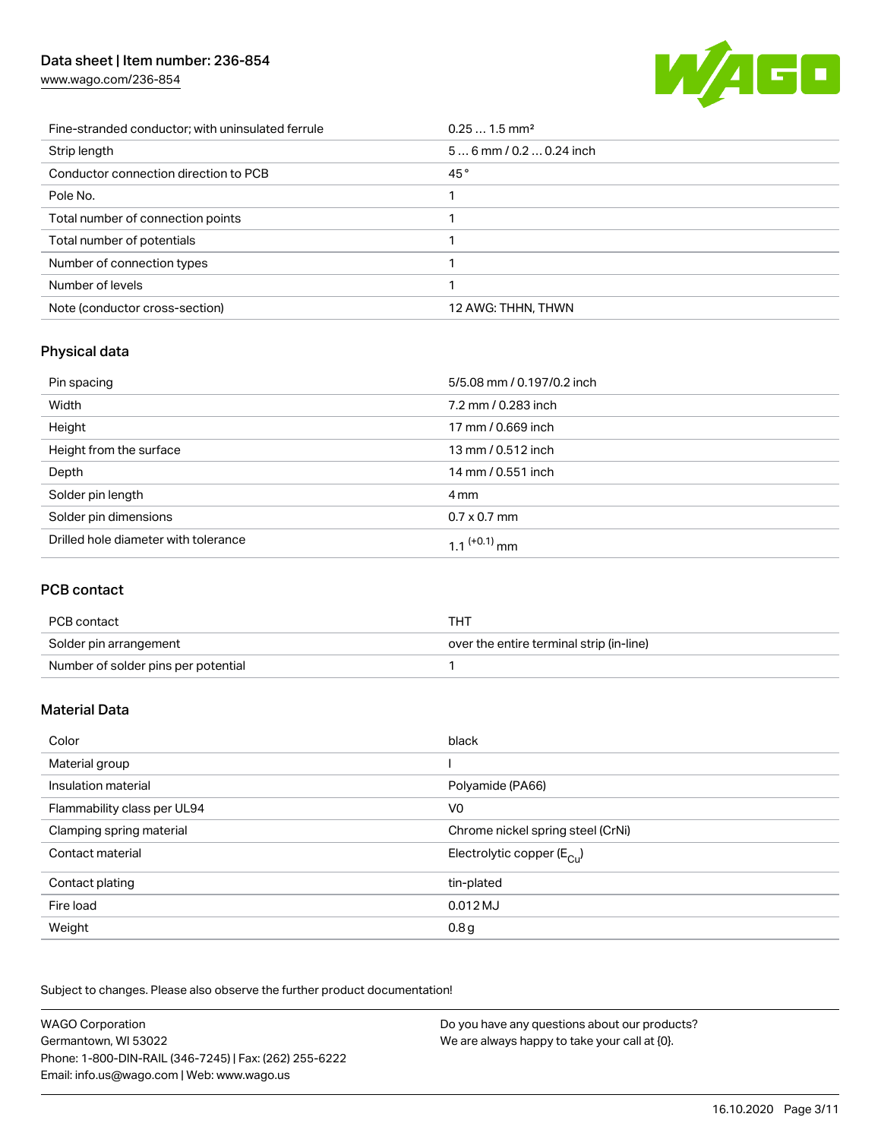[www.wago.com/236-854](http://www.wago.com/236-854)



| Fine-stranded conductor; with uninsulated ferrule | $0.251.5$ mm <sup>2</sup> |
|---------------------------------------------------|---------------------------|
| Strip length                                      | $56$ mm / 0.2  0.24 inch  |
| Conductor connection direction to PCB             | 45°                       |
| Pole No.                                          |                           |
| Total number of connection points                 |                           |
| Total number of potentials                        |                           |
| Number of connection types                        |                           |
| Number of levels                                  |                           |
| Note (conductor cross-section)                    | 12 AWG: THHN, THWN        |

# Physical data

| Pin spacing                          | 5/5.08 mm / 0.197/0.2 inch |
|--------------------------------------|----------------------------|
| Width                                | 7.2 mm / 0.283 inch        |
| Height                               | 17 mm / 0.669 inch         |
| Height from the surface              | 13 mm / 0.512 inch         |
| Depth                                | 14 mm / 0.551 inch         |
| Solder pin length                    | 4 mm                       |
| Solder pin dimensions                | $0.7 \times 0.7$ mm        |
| Drilled hole diameter with tolerance | $1.1$ <sup>(+0.1)</sup> mm |

# PCB contact

| PCB contact                         | THT                                      |
|-------------------------------------|------------------------------------------|
| Solder pin arrangement              | over the entire terminal strip (in-line) |
| Number of solder pins per potential |                                          |

# Material Data

| Color                       | black                                 |
|-----------------------------|---------------------------------------|
| Material group              |                                       |
| Insulation material         | Polyamide (PA66)                      |
| Flammability class per UL94 | V <sub>0</sub>                        |
| Clamping spring material    | Chrome nickel spring steel (CrNi)     |
| Contact material            | Electrolytic copper $(E_{\text{Cl}})$ |
| Contact plating             | tin-plated                            |
| Fire load                   | $0.012$ MJ                            |
| Weight                      | 0.8 <sub>g</sub>                      |

Subject to changes. Please also observe the further product documentation!

| <b>WAGO Corporation</b>                                | Do you have any questions about our products? |
|--------------------------------------------------------|-----------------------------------------------|
| Germantown, WI 53022                                   | We are always happy to take your call at {0}. |
| Phone: 1-800-DIN-RAIL (346-7245)   Fax: (262) 255-6222 |                                               |
| Email: info.us@wago.com   Web: www.wago.us             |                                               |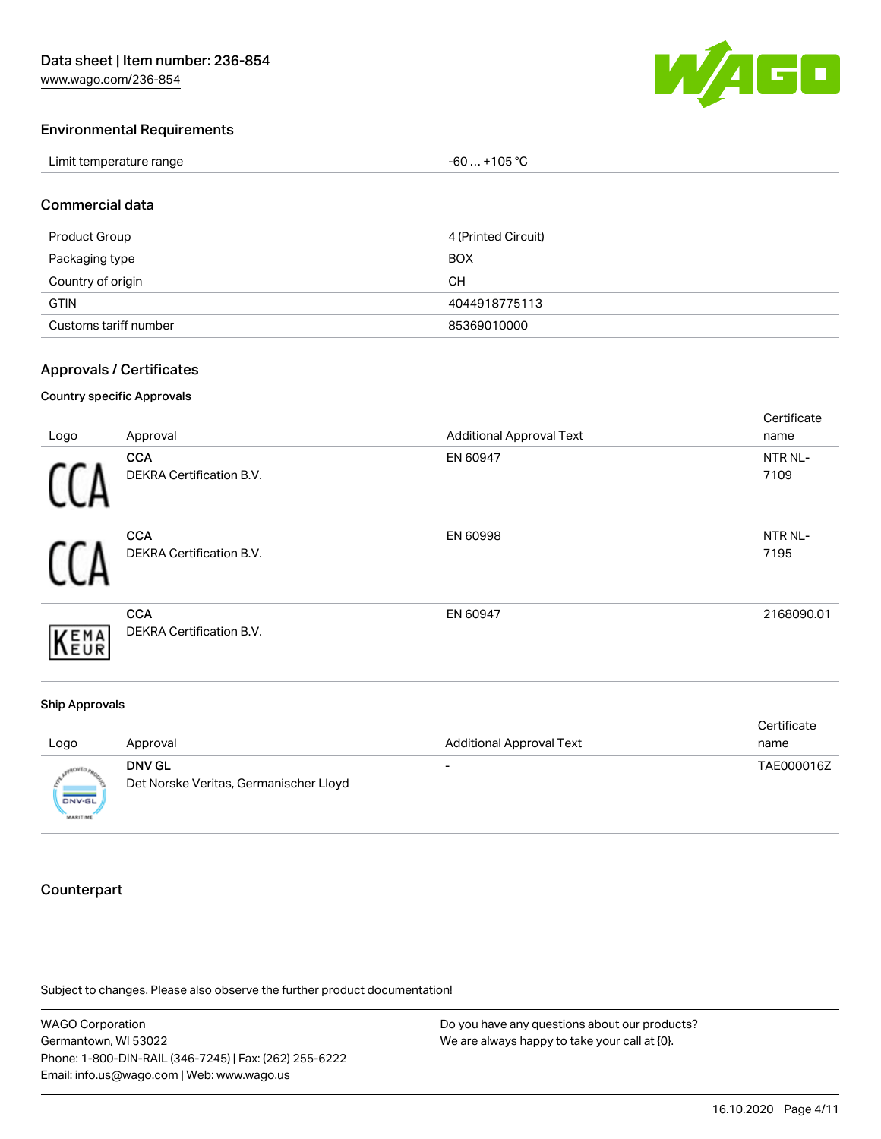[www.wago.com/236-854](http://www.wago.com/236-854)



#### Environmental Requirements

| Limit temperature range | $-60+105 °C$ |
|-------------------------|--------------|
|-------------------------|--------------|

#### Commercial data

| Product Group         | 4 (Printed Circuit) |
|-----------------------|---------------------|
| Packaging type        | <b>BOX</b>          |
| Country of origin     | CН                  |
| <b>GTIN</b>           | 4044918775113       |
| Customs tariff number | 85369010000         |

### Approvals / Certificates

#### Country specific Approvals

| Logo | Approval                                      | <b>Additional Approval Text</b> | Certificate<br>name |
|------|-----------------------------------------------|---------------------------------|---------------------|
|      | <b>CCA</b><br>DEKRA Certification B.V.        | EN 60947                        | NTR NL-<br>7109     |
|      | <b>CCA</b><br>DEKRA Certification B.V.        | EN 60998                        | NTR NL-<br>7195     |
|      | <b>CCA</b><br><b>DEKRA Certification B.V.</b> | EN 60947                        | 2168090.01          |

#### Ship Approvals

| Logo                             | Approval                                                | <b>Additional Approval Text</b> | Certificate<br>name |
|----------------------------------|---------------------------------------------------------|---------------------------------|---------------------|
| <b>DNV-GL</b><br><b>MARITIME</b> | <b>DNV GL</b><br>Det Norske Veritas, Germanischer Lloyd | -                               | TAE000016Z          |

# **Counterpart**

Subject to changes. Please also observe the further product documentation!

WAGO Corporation Germantown, WI 53022 Phone: 1-800-DIN-RAIL (346-7245) | Fax: (262) 255-6222 Email: info.us@wago.com | Web: www.wago.us Do you have any questions about our products? We are always happy to take your call at {0}.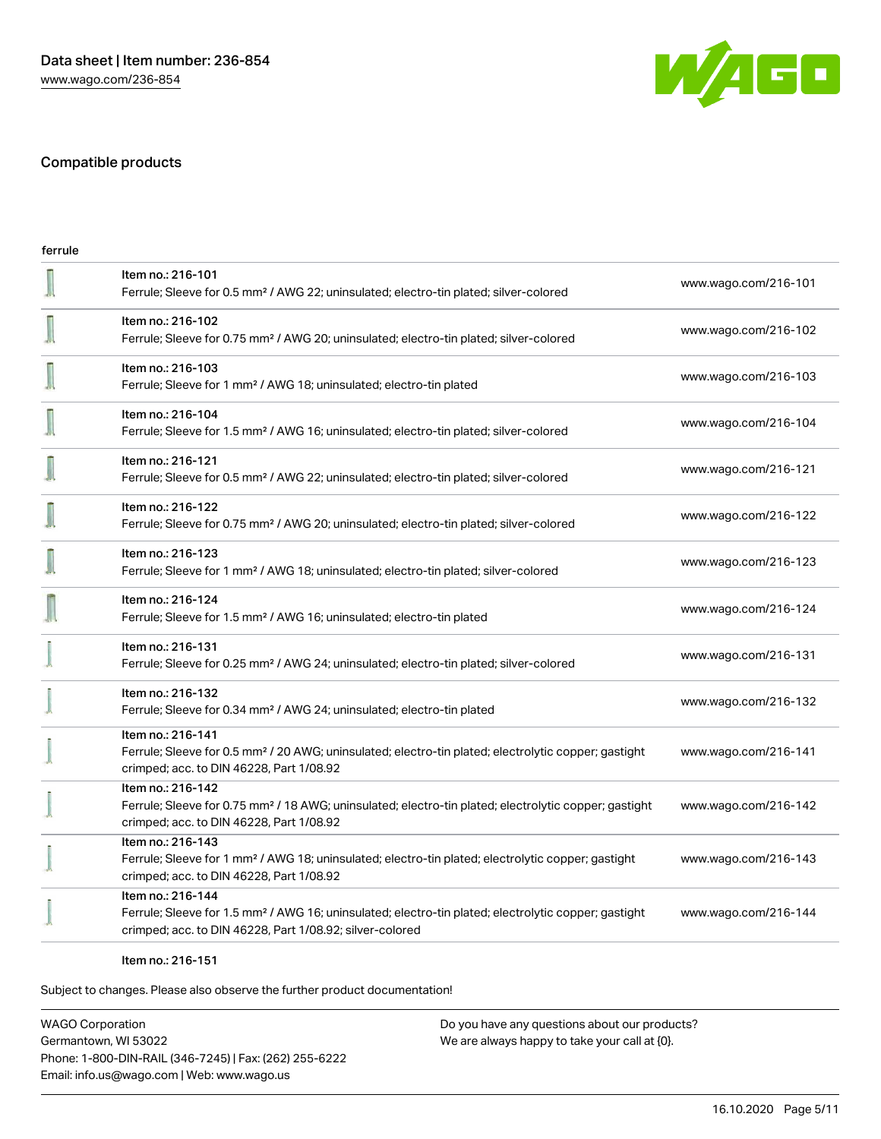

# Compatible products

| ferrule |                                                                                                                                                                                                   |                      |
|---------|---------------------------------------------------------------------------------------------------------------------------------------------------------------------------------------------------|----------------------|
|         | Item no.: 216-101<br>Ferrule; Sleeve for 0.5 mm <sup>2</sup> / AWG 22; uninsulated; electro-tin plated; silver-colored                                                                            | www.wago.com/216-101 |
|         | Item no.: 216-102<br>Ferrule; Sleeve for 0.75 mm <sup>2</sup> / AWG 20; uninsulated; electro-tin plated; silver-colored                                                                           | www.wago.com/216-102 |
|         | Item no.: 216-103<br>Ferrule; Sleeve for 1 mm <sup>2</sup> / AWG 18; uninsulated; electro-tin plated                                                                                              | www.wago.com/216-103 |
|         | Item no.: 216-104<br>Ferrule; Sleeve for 1.5 mm <sup>2</sup> / AWG 16; uninsulated; electro-tin plated; silver-colored                                                                            | www.wago.com/216-104 |
|         | Item no.: 216-121<br>Ferrule; Sleeve for 0.5 mm <sup>2</sup> / AWG 22; uninsulated; electro-tin plated; silver-colored                                                                            | www.wago.com/216-121 |
|         | Item no.: 216-122<br>Ferrule; Sleeve for 0.75 mm <sup>2</sup> / AWG 20; uninsulated; electro-tin plated; silver-colored                                                                           | www.wago.com/216-122 |
|         | Item no.: 216-123<br>Ferrule; Sleeve for 1 mm <sup>2</sup> / AWG 18; uninsulated; electro-tin plated; silver-colored                                                                              | www.wago.com/216-123 |
|         | Item no.: 216-124<br>Ferrule; Sleeve for 1.5 mm <sup>2</sup> / AWG 16; uninsulated; electro-tin plated                                                                                            | www.wago.com/216-124 |
|         | Item no.: 216-131<br>Ferrule; Sleeve for 0.25 mm <sup>2</sup> / AWG 24; uninsulated; electro-tin plated; silver-colored                                                                           | www.wago.com/216-131 |
|         | Item no.: 216-132<br>Ferrule; Sleeve for 0.34 mm <sup>2</sup> / AWG 24; uninsulated; electro-tin plated                                                                                           | www.wago.com/216-132 |
|         | Item no.: 216-141<br>Ferrule; Sleeve for 0.5 mm <sup>2</sup> / 20 AWG; uninsulated; electro-tin plated; electrolytic copper; gastight<br>crimped; acc. to DIN 46228, Part 1/08.92                 | www.wago.com/216-141 |
|         | Item no.: 216-142<br>Ferrule; Sleeve for 0.75 mm <sup>2</sup> / 18 AWG; uninsulated; electro-tin plated; electrolytic copper; gastight<br>crimped; acc. to DIN 46228, Part 1/08.92                | www.wago.com/216-142 |
|         | Item no.: 216-143<br>Ferrule; Sleeve for 1 mm <sup>2</sup> / AWG 18; uninsulated; electro-tin plated; electrolytic copper; gastight<br>crimped; acc. to DIN 46228, Part 1/08.92                   | www.wago.com/216-143 |
|         | Item no.: 216-144<br>Ferrule; Sleeve for 1.5 mm <sup>2</sup> / AWG 16; uninsulated; electro-tin plated; electrolytic copper; gastight<br>crimped; acc. to DIN 46228, Part 1/08.92; silver-colored | www.wago.com/216-144 |
|         |                                                                                                                                                                                                   |                      |

#### Item no.: 216-151

Subject to changes. Please also observe the further product documentation!

WAGO Corporation Germantown, WI 53022 Phone: 1-800-DIN-RAIL (346-7245) | Fax: (262) 255-6222 Email: info.us@wago.com | Web: www.wago.us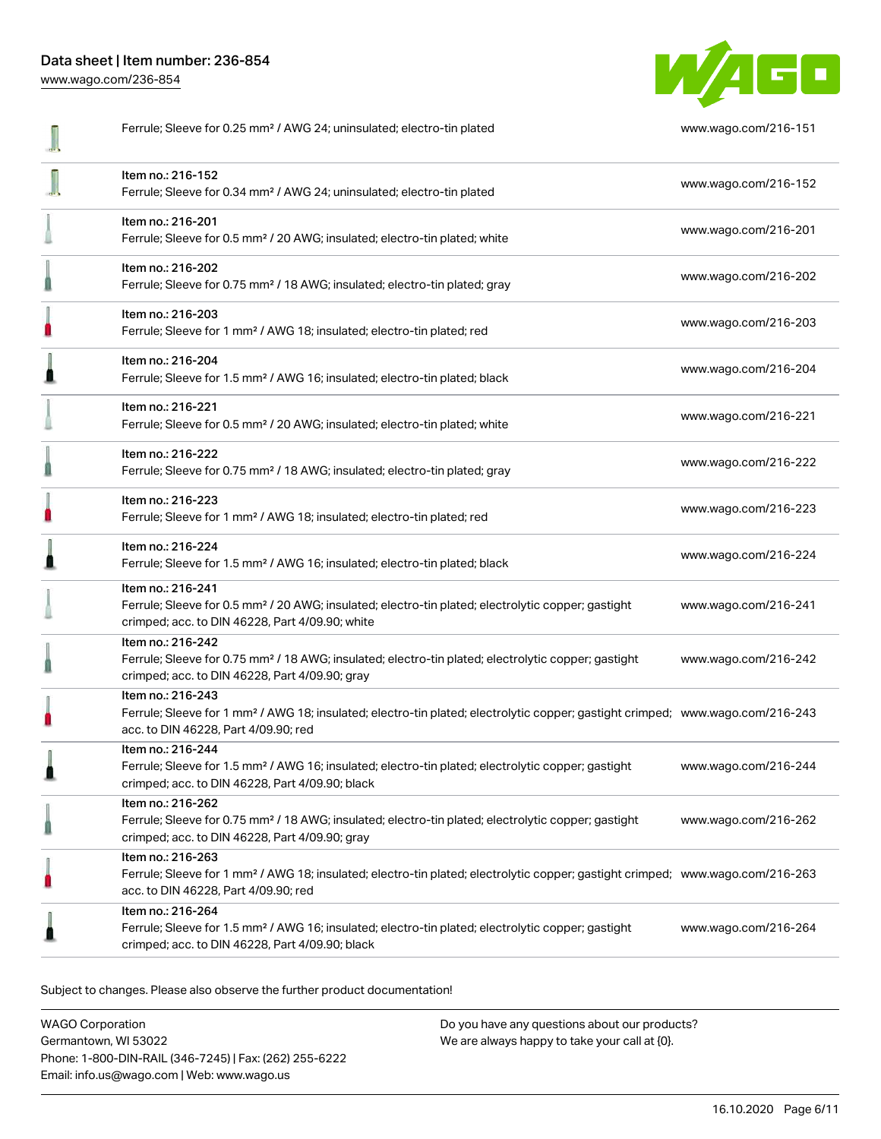[www.wago.com/236-854](http://www.wago.com/236-854)



| Ferrule; Sleeve for 0.25 mm <sup>2</sup> / AWG 24; uninsulated; electro-tin plated                                                                                                                      | www.wago.com/216-151 |
|---------------------------------------------------------------------------------------------------------------------------------------------------------------------------------------------------------|----------------------|
| Item no.: 216-152<br>Ferrule; Sleeve for 0.34 mm <sup>2</sup> / AWG 24; uninsulated; electro-tin plated                                                                                                 | www.wago.com/216-152 |
| Item no.: 216-201<br>Ferrule; Sleeve for 0.5 mm <sup>2</sup> / 20 AWG; insulated; electro-tin plated; white                                                                                             | www.wago.com/216-201 |
| Item no.: 216-202<br>Ferrule; Sleeve for 0.75 mm <sup>2</sup> / 18 AWG; insulated; electro-tin plated; gray                                                                                             | www.wago.com/216-202 |
| Item no.: 216-203<br>Ferrule; Sleeve for 1 mm <sup>2</sup> / AWG 18; insulated; electro-tin plated; red                                                                                                 | www.wago.com/216-203 |
| Item no.: 216-204<br>Ferrule; Sleeve for 1.5 mm <sup>2</sup> / AWG 16; insulated; electro-tin plated; black                                                                                             | www.wago.com/216-204 |
| Item no.: 216-221<br>Ferrule; Sleeve for 0.5 mm <sup>2</sup> / 20 AWG; insulated; electro-tin plated; white                                                                                             | www.wago.com/216-221 |
| Item no.: 216-222<br>Ferrule; Sleeve for 0.75 mm <sup>2</sup> / 18 AWG; insulated; electro-tin plated; gray                                                                                             | www.wago.com/216-222 |
| Item no.: 216-223<br>Ferrule; Sleeve for 1 mm <sup>2</sup> / AWG 18; insulated; electro-tin plated; red                                                                                                 | www.wago.com/216-223 |
| Item no.: 216-224<br>Ferrule; Sleeve for 1.5 mm <sup>2</sup> / AWG 16; insulated; electro-tin plated; black                                                                                             | www.wago.com/216-224 |
| Item no.: 216-241<br>Ferrule; Sleeve for 0.5 mm <sup>2</sup> / 20 AWG; insulated; electro-tin plated; electrolytic copper; gastight<br>crimped; acc. to DIN 46228, Part 4/09.90; white                  | www.wago.com/216-241 |
| Item no.: 216-242<br>Ferrule; Sleeve for 0.75 mm <sup>2</sup> / 18 AWG; insulated; electro-tin plated; electrolytic copper; gastight<br>crimped; acc. to DIN 46228, Part 4/09.90; gray                  | www.wago.com/216-242 |
| Item no.: 216-243<br>Ferrule; Sleeve for 1 mm <sup>2</sup> / AWG 18; insulated; electro-tin plated; electrolytic copper; gastight crimped; www.wago.com/216-243<br>acc. to DIN 46228, Part 4/09.90; red |                      |
| Item no.: 216-244<br>Ferrule; Sleeve for 1.5 mm <sup>2</sup> / AWG 16; insulated; electro-tin plated; electrolytic copper; gastight<br>crimped; acc. to DIN 46228, Part 4/09.90; black                  | www.wago.com/216-244 |
| Item no.: 216-262<br>Ferrule; Sleeve for 0.75 mm <sup>2</sup> / 18 AWG; insulated; electro-tin plated; electrolytic copper; gastight<br>crimped; acc. to DIN 46228, Part 4/09.90; gray                  | www.wago.com/216-262 |
| Item no.: 216-263<br>Ferrule; Sleeve for 1 mm <sup>2</sup> / AWG 18; insulated; electro-tin plated; electrolytic copper; gastight crimped; www.wago.com/216-263<br>acc. to DIN 46228, Part 4/09.90; red |                      |
| Item no.: 216-264<br>Ferrule; Sleeve for 1.5 mm <sup>2</sup> / AWG 16; insulated; electro-tin plated; electrolytic copper; gastight<br>crimped; acc. to DIN 46228, Part 4/09.90; black                  | www.wago.com/216-264 |

Subject to changes. Please also observe the further product documentation!

WAGO Corporation Germantown, WI 53022 Phone: 1-800-DIN-RAIL (346-7245) | Fax: (262) 255-6222 Email: info.us@wago.com | Web: www.wago.us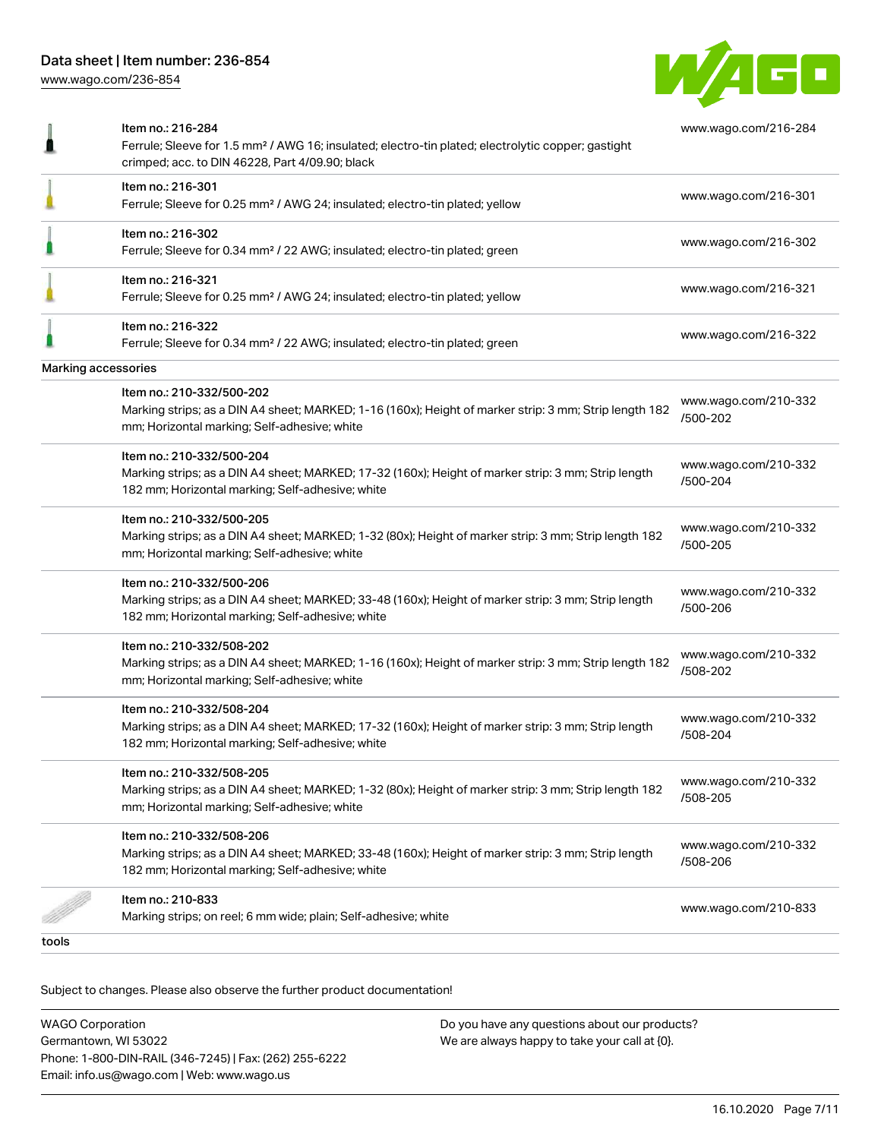

|                     | Item no.: 216-284<br>Ferrule; Sleeve for 1.5 mm <sup>2</sup> / AWG 16; insulated; electro-tin plated; electrolytic copper; gastight<br>crimped; acc. to DIN 46228, Part 4/09.90; black | www.wago.com/216-284             |
|---------------------|----------------------------------------------------------------------------------------------------------------------------------------------------------------------------------------|----------------------------------|
|                     | Item no.: 216-301<br>Ferrule; Sleeve for 0.25 mm <sup>2</sup> / AWG 24; insulated; electro-tin plated; yellow                                                                          | www.wago.com/216-301             |
|                     | Item no.: 216-302<br>Ferrule; Sleeve for 0.34 mm <sup>2</sup> / 22 AWG; insulated; electro-tin plated; green                                                                           | www.wago.com/216-302             |
|                     | Item no.: 216-321<br>Ferrule; Sleeve for 0.25 mm <sup>2</sup> / AWG 24; insulated; electro-tin plated; yellow                                                                          | www.wago.com/216-321             |
|                     | Item no.: 216-322<br>Ferrule; Sleeve for 0.34 mm <sup>2</sup> / 22 AWG; insulated; electro-tin plated; green                                                                           | www.wago.com/216-322             |
| Marking accessories |                                                                                                                                                                                        |                                  |
|                     | Item no.: 210-332/500-202<br>Marking strips; as a DIN A4 sheet; MARKED; 1-16 (160x); Height of marker strip: 3 mm; Strip length 182<br>mm; Horizontal marking; Self-adhesive; white    | www.wago.com/210-332<br>/500-202 |
|                     | Item no.: 210-332/500-204<br>Marking strips; as a DIN A4 sheet; MARKED; 17-32 (160x); Height of marker strip: 3 mm; Strip length<br>182 mm; Horizontal marking; Self-adhesive; white   | www.wago.com/210-332<br>/500-204 |
|                     | Item no.: 210-332/500-205<br>Marking strips; as a DIN A4 sheet; MARKED; 1-32 (80x); Height of marker strip: 3 mm; Strip length 182<br>mm; Horizontal marking; Self-adhesive; white     | www.wago.com/210-332<br>/500-205 |
|                     | Item no.: 210-332/500-206<br>Marking strips; as a DIN A4 sheet; MARKED; 33-48 (160x); Height of marker strip: 3 mm; Strip length<br>182 mm; Horizontal marking; Self-adhesive; white   | www.wago.com/210-332<br>/500-206 |
|                     | Item no.: 210-332/508-202<br>Marking strips; as a DIN A4 sheet; MARKED; 1-16 (160x); Height of marker strip: 3 mm; Strip length 182<br>mm; Horizontal marking; Self-adhesive; white    | www.wago.com/210-332<br>/508-202 |
|                     | Item no.: 210-332/508-204<br>Marking strips; as a DIN A4 sheet; MARKED; 17-32 (160x); Height of marker strip: 3 mm; Strip length<br>182 mm; Horizontal marking; Self-adhesive; white   | www.wago.com/210-332<br>/508-204 |
|                     | Item no.: 210-332/508-205<br>Marking strips; as a DIN A4 sheet; MARKED; 1-32 (80x); Height of marker strip: 3 mm; Strip length 182<br>mm; Horizontal marking; Self-adhesive; white     | www.wago.com/210-332<br>/508-205 |
|                     | Item no.: 210-332/508-206<br>Marking strips; as a DIN A4 sheet; MARKED; 33-48 (160x); Height of marker strip: 3 mm; Strip length<br>182 mm; Horizontal marking; Self-adhesive; white   | www.wago.com/210-332<br>/508-206 |
|                     | Item no.: 210-833<br>Marking strips; on reel; 6 mm wide; plain; Self-adhesive; white                                                                                                   | www.wago.com/210-833             |
| tools               |                                                                                                                                                                                        |                                  |
|                     |                                                                                                                                                                                        |                                  |

Subject to changes. Please also observe the further product documentation!

WAGO Corporation Germantown, WI 53022 Phone: 1-800-DIN-RAIL (346-7245) | Fax: (262) 255-6222 Email: info.us@wago.com | Web: www.wago.us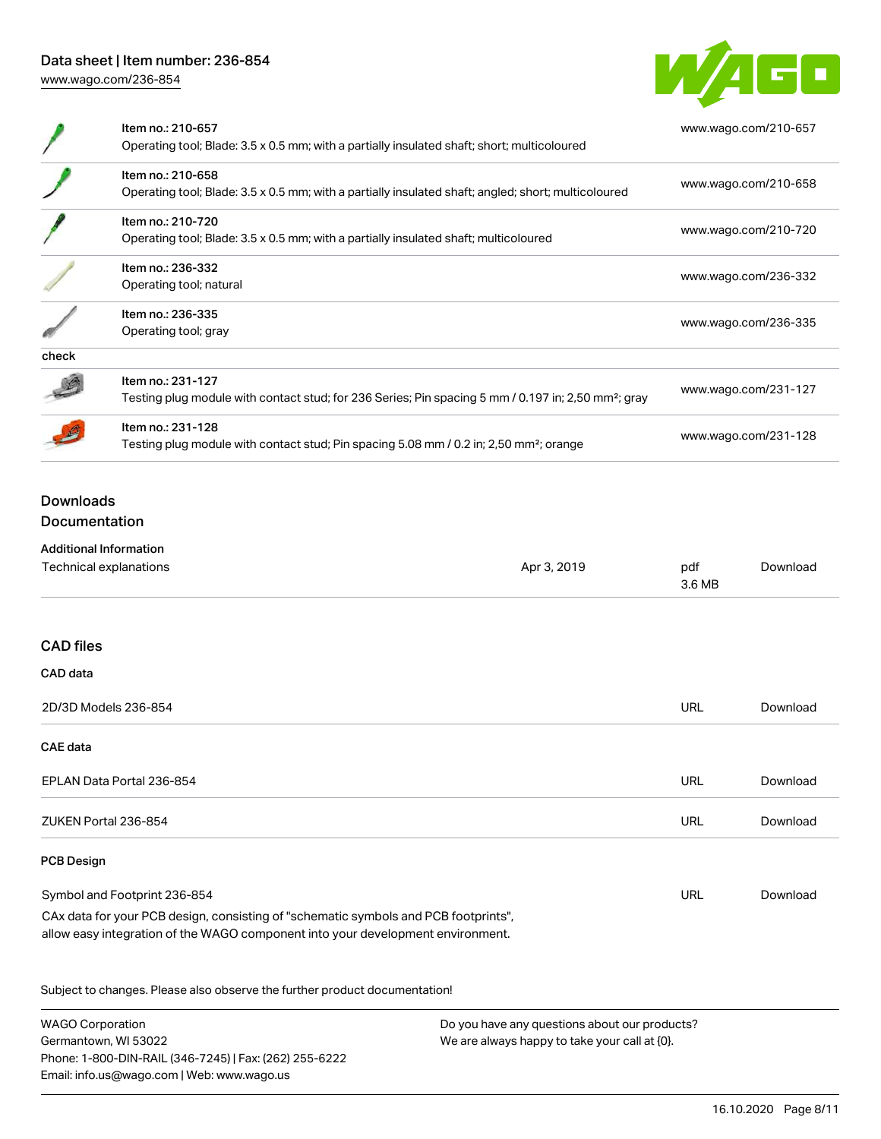Phone: 1-800-DIN-RAIL (346-7245) | Fax: (262) 255-6222

Email: info.us@wago.com | Web: www.wago.us



|                                   | Item no.: 210-657<br>Operating tool; Blade: 3.5 x 0.5 mm; with a partially insulated shaft; short; multicoloured                                                       |                                                                                      | www.wago.com/210-657 |                      |  |
|-----------------------------------|------------------------------------------------------------------------------------------------------------------------------------------------------------------------|--------------------------------------------------------------------------------------|----------------------|----------------------|--|
|                                   | Item no.: 210-658<br>Operating tool; Blade: 3.5 x 0.5 mm; with a partially insulated shaft; angled; short; multicoloured                                               |                                                                                      | www.wago.com/210-658 |                      |  |
|                                   | Item no.: 210-720                                                                                                                                                      | Operating tool; Blade: 3.5 x 0.5 mm; with a partially insulated shaft; multicoloured |                      | www.wago.com/210-720 |  |
|                                   | Item no.: 236-332<br>Operating tool; natural                                                                                                                           |                                                                                      |                      | www.wago.com/236-332 |  |
|                                   | Item no.: 236-335<br>Operating tool; gray                                                                                                                              |                                                                                      | www.wago.com/236-335 |                      |  |
| check                             |                                                                                                                                                                        |                                                                                      |                      |                      |  |
|                                   | Item no.: 231-127<br>Testing plug module with contact stud; for 236 Series; Pin spacing 5 mm / 0.197 in; 2,50 mm <sup>2</sup> ; gray                                   |                                                                                      | www.wago.com/231-127 |                      |  |
|                                   | Item no.: 231-128<br>Testing plug module with contact stud; Pin spacing 5.08 mm / 0.2 in; 2,50 mm <sup>2</sup> ; orange                                                |                                                                                      | www.wago.com/231-128 |                      |  |
| <b>Downloads</b><br>Documentation |                                                                                                                                                                        |                                                                                      |                      |                      |  |
|                                   | <b>Additional Information</b>                                                                                                                                          |                                                                                      |                      |                      |  |
|                                   | Technical explanations                                                                                                                                                 | Apr 3, 2019                                                                          | pdf<br>3.6 MB        | Download             |  |
| <b>CAD</b> files                  |                                                                                                                                                                        |                                                                                      |                      |                      |  |
| CAD data                          |                                                                                                                                                                        |                                                                                      |                      |                      |  |
|                                   | 2D/3D Models 236-854                                                                                                                                                   |                                                                                      | <b>URL</b>           | Download             |  |
| <b>CAE data</b>                   |                                                                                                                                                                        |                                                                                      |                      |                      |  |
|                                   | EPLAN Data Portal 236-854                                                                                                                                              |                                                                                      | <b>URL</b>           | Download             |  |
|                                   | ZUKEN Portal 236-854                                                                                                                                                   |                                                                                      | <b>URL</b>           | Download             |  |
| <b>PCB Design</b>                 |                                                                                                                                                                        |                                                                                      |                      |                      |  |
|                                   | Symbol and Footprint 236-854                                                                                                                                           |                                                                                      | <b>URL</b>           | Download             |  |
|                                   | CAx data for your PCB design, consisting of "schematic symbols and PCB footprints",<br>allow easy integration of the WAGO component into your development environment. |                                                                                      |                      |                      |  |
|                                   | Subject to changes. Please also observe the further product documentation!                                                                                             |                                                                                      |                      |                      |  |
|                                   | <b>WAGO Corporation</b><br>Do you have any questions about our products?<br>Germantown, WI 53022<br>We are always happy to take your call at {0}.                      |                                                                                      |                      |                      |  |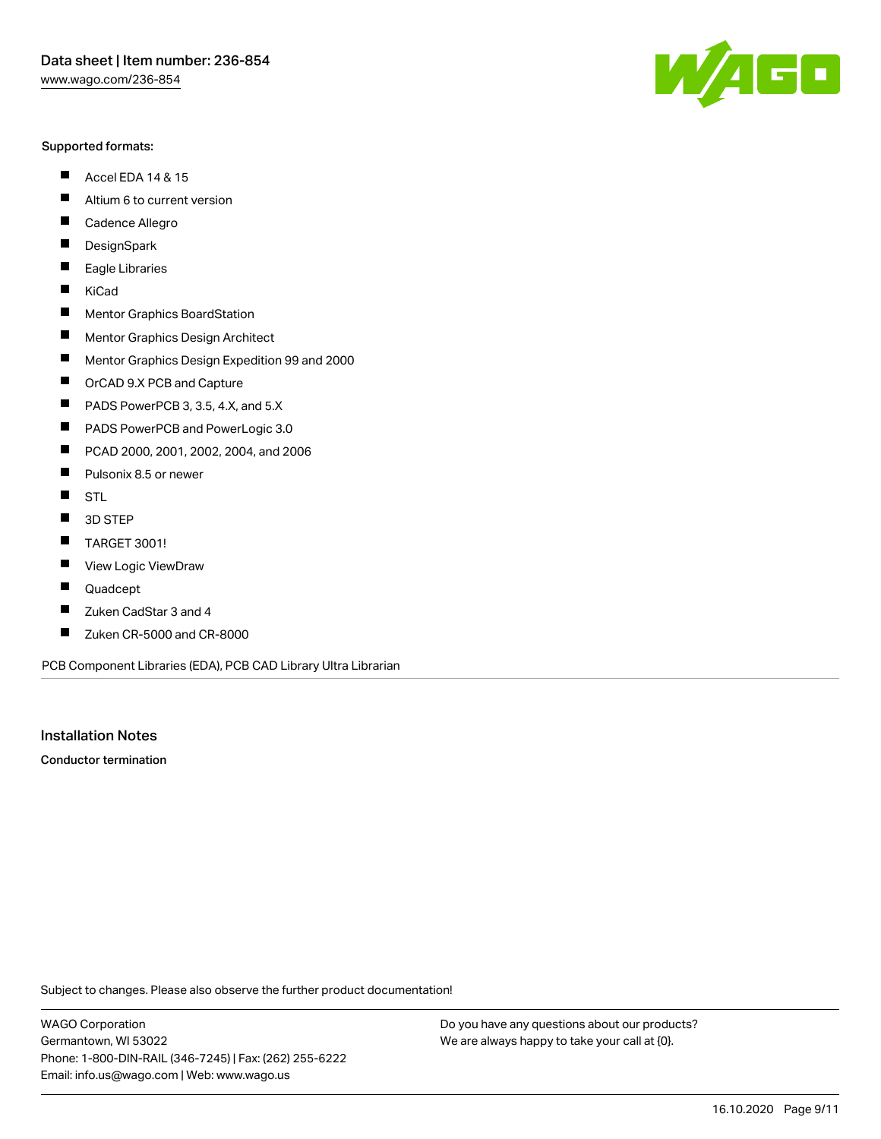#### Supported formats:

- $\blacksquare$ Accel EDA 14 & 15
- $\blacksquare$ Altium 6 to current version
- $\blacksquare$ Cadence Allegro
- $\blacksquare$ **DesignSpark**
- $\blacksquare$ Eagle Libraries
- $\blacksquare$ KiCad
- $\blacksquare$ Mentor Graphics BoardStation
- $\blacksquare$ Mentor Graphics Design Architect
- $\blacksquare$ Mentor Graphics Design Expedition 99 and 2000
- $\blacksquare$ OrCAD 9.X PCB and Capture
- $\blacksquare$ PADS PowerPCB 3, 3.5, 4.X, and 5.X
- $\blacksquare$ PADS PowerPCB and PowerLogic 3.0
- $\blacksquare$ PCAD 2000, 2001, 2002, 2004, and 2006
- $\blacksquare$ Pulsonix 8.5 or newer
- $\blacksquare$ STL
- 3D STEP П
- $\blacksquare$ TARGET 3001!
- $\blacksquare$ View Logic ViewDraw
- П Quadcept
- Zuken CadStar 3 and 4  $\blacksquare$
- Zuken CR-5000 and CR-8000 П

PCB Component Libraries (EDA), PCB CAD Library Ultra Librarian

Installation Notes

Conductor termination

Subject to changes. Please also observe the further product documentation!

WAGO Corporation Germantown, WI 53022 Phone: 1-800-DIN-RAIL (346-7245) | Fax: (262) 255-6222 Email: info.us@wago.com | Web: www.wago.us

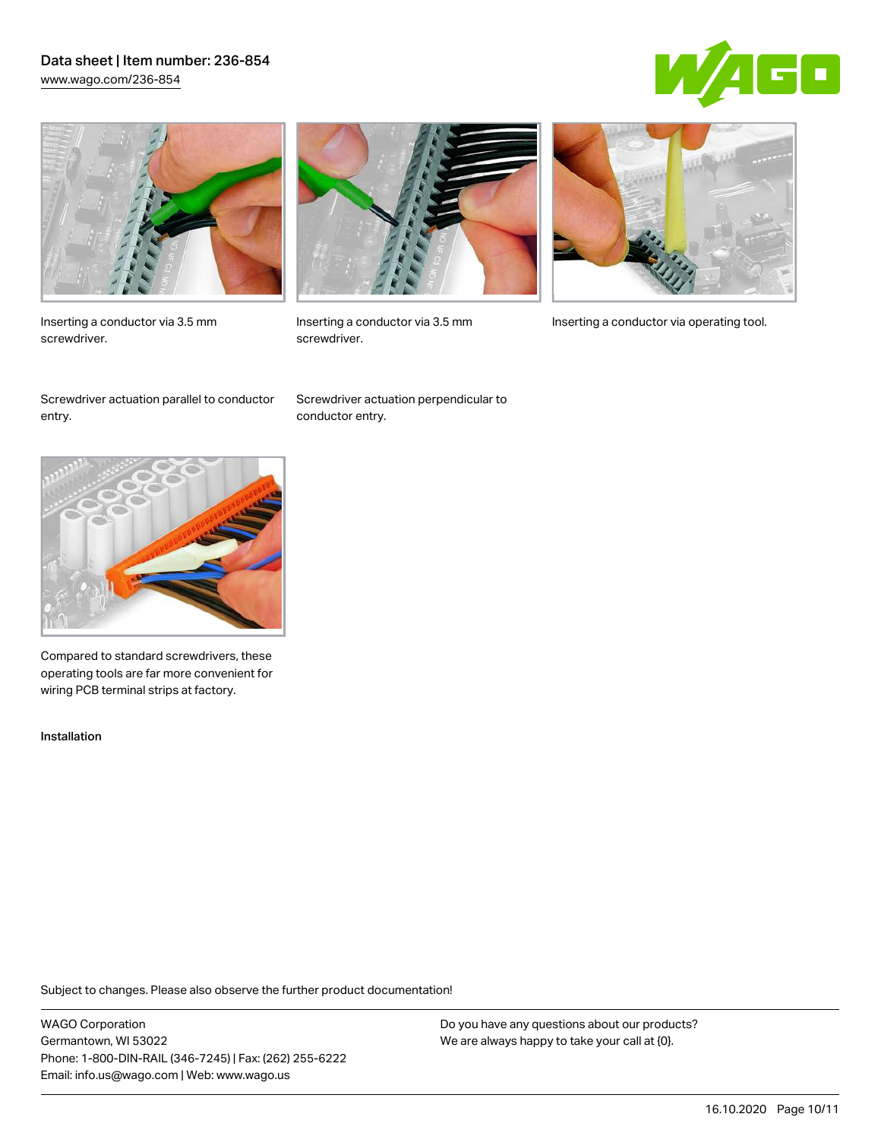### Data sheet | Item number: 236-854 [www.wago.com/236-854](http://www.wago.com/236-854)





Inserting a conductor via 3.5 mm screwdriver.



screwdriver.

Inserting a conductor via 3.5 mm Inserting a conductor via operating tool.

Screwdriver actuation parallel to conductor entry.

Screwdriver actuation perpendicular to conductor entry.



Compared to standard screwdrivers, these operating tools are far more convenient for wiring PCB terminal strips at factory.

Installation

Subject to changes. Please also observe the further product documentation!

WAGO Corporation Germantown, WI 53022 Phone: 1-800-DIN-RAIL (346-7245) | Fax: (262) 255-6222 Email: info.us@wago.com | Web: www.wago.us